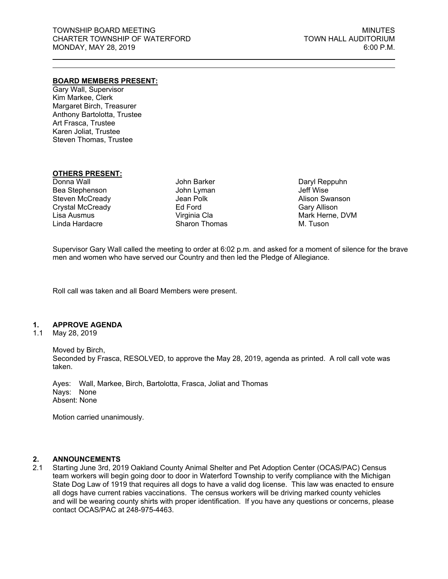## **BOARD MEMBERS PRESENT:**

Gary Wall, Supervisor Kim Markee, Clerk Margaret Birch, Treasurer Anthony Bartolotta, Trustee Art Frasca, Trustee Karen Joliat, Trustee Steven Thomas, Trustee

## **OTHERS PRESENT:**

Donna Wall Bea Stephenson Steven McCready Crystal McCready Lisa Ausmus Linda Hardacre

John Barker John Lyman Jean Polk Ed Ford Virginia Cla Sharon Thomas Daryl Reppuhn Jeff Wise Alison Swanson Gary Allison Mark Herne, DVM M. Tuson

Supervisor Gary Wall called the meeting to order at 6:02 p.m. and asked for a moment of silence for the brave men and women who have served our Country and then led the Pledge of Allegiance.

Roll call was taken and all Board Members were present.

## **1. APPROVE AGENDA**

1.1 May 28, 2019

Moved by Birch, Seconded by Frasca, RESOLVED, to approve the May 28, 2019, agenda as printed. A roll call vote was taken.

Ayes: Wall, Markee, Birch, Bartolotta, Frasca, Joliat and Thomas Nays: None Absent: None

Motion carried unanimously.

## **2. ANNOUNCEMENTS**

2.1 Starting June 3rd, 2019 Oakland County Animal Shelter and Pet Adoption Center (OCAS/PAC) Census team workers will begin going door to door in Waterford Township to verify compliance with the Michigan State Dog Law of 1919 that requires all dogs to have a valid dog license. This law was enacted to ensure all dogs have current rabies vaccinations. The census workers will be driving marked county vehicles and will be wearing county shirts with proper identification. If you have any questions or concerns, please contact OCAS/PAC at 248-975-4463.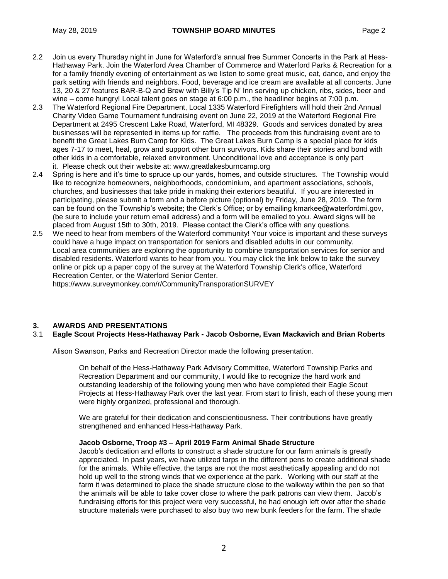- 2.2 Join us every Thursday night in June for Waterford's annual free Summer Concerts in the Park at Hess-Hathaway Park. Join the Waterford Area Chamber of Commerce and Waterford Parks & Recreation for a for a family friendly evening of entertainment as we listen to some great music, eat, dance, and enjoy the park setting with friends and neighbors. Food, beverage and ice cream are available at all concerts. June 13, 20 & 27 features BAR-B-Q and Brew with Billy's Tip N' Inn serving up chicken, ribs, sides, beer and wine – come hungry! Local talent goes on stage at 6:00 p.m., the headliner begins at 7:00 p.m.
- 2.3 The Waterford Regional Fire Department, Local 1335 Waterford Firefighters will hold their 2nd Annual Charity Video Game Tournament fundraising event on June 22, 2019 at the Waterford Regional Fire Department at 2495 Crescent Lake Road, Waterford, MI 48329. Goods and services donated by area businesses will be represented in items up for raffle. The proceeds from this fundraising event are to benefit the Great Lakes Burn Camp for Kids. The Great Lakes Burn Camp is a special place for kids ages 7-17 to meet, heal, grow and support other burn survivors. Kids share their stories and bond with other kids in a comfortable, relaxed environment. Unconditional love and acceptance is only part it. Please check out their website at: [www.greatlakesburncamp.org](http://www.greatlakesburncamp.org/)
- 2.4 Spring is here and it's time to spruce up our yards, homes, and outside structures. The Township would like to recognize homeowners, neighborhoods, condominium, and apartment associations, schools, churches, and businesses that take pride in making their exteriors beautiful. If you are interested in participating, please submit a form and a before picture (optional) by Friday, June 28, 2019. The form can be found on the Township's website; the Clerk's Office; or by emailing kmarkee@waterfordmi.gov, (be sure to include your return email address) and a form will be emailed to you. Award signs will be placed from August 15th to 30th, 2019. Please contact the Clerk's office with any questions.
- 2.5 We need to hear from members of the Waterford community! Your voice is important and these surveys could have a huge impact on transportation for seniors and disabled adults in our community. Local area communities are exploring the opportunity to combine transportation services for senior and disabled residents. Waterford wants to hear from you. You may click the link below to take the survey online or pick up a paper copy of the survey at the Waterford Township Clerk's office, Waterford Recreation Center, or the Waterford Senior Center.

https://www.surveymonkey.com/r/CommunityTransporationSURVEY

# **3. AWARDS AND PRESENTATIONS**

# 3.1 **Eagle Scout Projects Hess-Hathaway Park - Jacob Osborne, Evan Mackavich and Brian Roberts**

Alison Swanson, Parks and Recreation Director made the following presentation.

On behalf of the Hess-Hathaway Park Advisory Committee, Waterford Township Parks and Recreation Department and our community, I would like to recognize the hard work and outstanding leadership of the following young men who have completed their Eagle Scout Projects at Hess-Hathaway Park over the last year. From start to finish, each of these young men were highly organized, professional and thorough.

We are grateful for their dedication and conscientiousness. Their contributions have greatly strengthened and enhanced Hess-Hathaway Park.

## **Jacob Osborne, Troop #3 – April 2019 Farm Animal Shade Structure**

Jacob's dedication and efforts to construct a shade structure for our farm animals is greatly appreciated. In past years, we have utilized tarps in the different pens to create additional shade for the animals. While effective, the tarps are not the most aesthetically appealing and do not hold up well to the strong winds that we experience at the park. Working with our staff at the farm it was determined to place the shade structure close to the walkway within the pen so that the animals will be able to take cover close to where the park patrons can view them. Jacob's fundraising efforts for this project were very successful, he had enough left over after the shade structure materials were purchased to also buy two new bunk feeders for the farm. The shade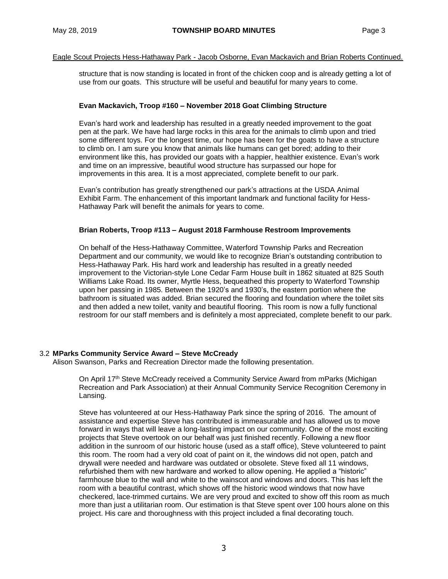## Eagle Scout Projects Hess-Hathaway Park - Jacob Osborne, Evan Mackavich and Brian Roberts Continued.

structure that is now standing is located in front of the chicken coop and is already getting a lot of use from our goats. This structure will be useful and beautiful for many years to come.

#### **Evan Mackavich, Troop #160 – November 2018 Goat Climbing Structure**

Evan's hard work and leadership has resulted in a greatly needed improvement to the goat pen at the park. We have had large rocks in this area for the animals to climb upon and tried some different toys. For the longest time, our hope has been for the goats to have a structure to climb on. I am sure you know that animals like humans can get bored; adding to their environment like this, has provided our goats with a happier, healthier existence. Evan's work and time on an impressive, beautiful wood structure has surpassed our hope for improvements in this area. It is a most appreciated, complete benefit to our park.

Evan's contribution has greatly strengthened our park's attractions at the USDA Animal Exhibit Farm. The enhancement of this important landmark and functional facility for Hess-Hathaway Park will benefit the animals for years to come.

#### **Brian Roberts, Troop #113 – August 2018 Farmhouse Restroom Improvements**

On behalf of the Hess-Hathaway Committee, Waterford Township Parks and Recreation Department and our community, we would like to recognize Brian's outstanding contribution to Hess-Hathaway Park. His hard work and leadership has resulted in a greatly needed improvement to the Victorian-style Lone Cedar Farm House built in 1862 situated at 825 South Williams Lake Road. Its owner, Myrtle Hess, bequeathed this property to Waterford Township upon her passing in 1985. Between the 1920's and 1930's, the eastern portion where the bathroom is situated was added. Brian secured the flooring and foundation where the toilet sits and then added a new toilet, vanity and beautiful flooring. This room is now a fully functional restroom for our staff members and is definitely a most appreciated, complete benefit to our park.

#### 3.2 **MParks Community Service Award – Steve McCready**

Alison Swanson, Parks and Recreation Director made the following presentation.

On April 17th Steve McCready received a Community Service Award from mParks (Michigan Recreation and Park Association) at their Annual Community Service Recognition Ceremony in Lansing.

Steve has volunteered at our Hess-Hathaway Park since the spring of 2016. The amount of assistance and expertise Steve has contributed is immeasurable and has allowed us to move forward in ways that will leave a long-lasting impact on our community. One of the most exciting projects that Steve overtook on our behalf was just finished recently. Following a new floor addition in the sunroom of our historic house (used as a staff office), Steve volunteered to paint this room. The room had a very old coat of paint on it, the windows did not open, patch and drywall were needed and hardware was outdated or obsolete. Steve fixed all 11 windows, refurbished them with new hardware and worked to allow opening. He applied a "historic" farmhouse blue to the wall and white to the wainscot and windows and doors. This has left the room with a beautiful contrast, which shows off the historic wood windows that now have checkered, lace-trimmed curtains. We are very proud and excited to show off this room as much more than just a utilitarian room. Our estimation is that Steve spent over 100 hours alone on this project. His care and thoroughness with this project included a final decorating touch.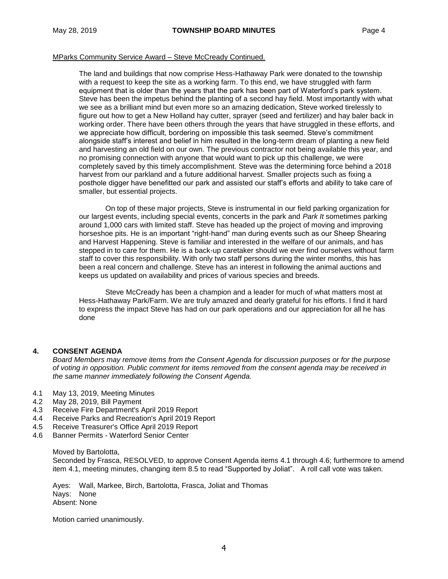## MParks Community Service Award – Steve McCready Continued.

The land and buildings that now comprise Hess-Hathaway Park were donated to the township with a request to keep the site as a working farm. To this end, we have struggled with farm equipment that is older than the years that the park has been part of Waterford's park system. Steve has been the impetus behind the planting of a second hay field. Most importantly with what we see as a brilliant mind but even more so an amazing dedication, Steve worked tirelessly to figure out how to get a New Holland hay cutter, sprayer (seed and fertilizer) and hay baler back in working order. There have been others through the years that have struggled in these efforts, and we appreciate how difficult, bordering on impossible this task seemed. Steve's commitment alongside staff's interest and belief in him resulted in the long-term dream of planting a new field and harvesting an old field on our own. The previous contractor not being available this year, and no promising connection with anyone that would want to pick up this challenge, we were completely saved by this timely accomplishment. Steve was the determining force behind a 2018 harvest from our parkland and a future additional harvest. Smaller projects such as fixing a posthole digger have benefitted our park and assisted our staff's efforts and ability to take care of smaller, but essential projects.

On top of these major projects, Steve is instrumental in our field parking organization for our largest events, including special events, concerts in the park and *Park It* sometimes parking around 1,000 cars with limited staff. Steve has headed up the project of moving and improving horseshoe pits. He is an important "right-hand" man during events such as our Sheep Shearing and Harvest Happening. Steve is familiar and interested in the welfare of our animals, and has stepped in to care for them. He is a back-up caretaker should we ever find ourselves without farm staff to cover this responsibility. With only two staff persons during the winter months, this has been a real concern and challenge. Steve has an interest in following the animal auctions and keeps us updated on availability and prices of various species and breeds.

Steve McCready has been a champion and a leader for much of what matters most at Hess-Hathaway Park/Farm. We are truly amazed and dearly grateful for his efforts. I find it hard to express the impact Steve has had on our park operations and our appreciation for all he has done

## **4. CONSENT AGENDA**

*Board Members may remove items from the Consent Agenda for discussion purposes or for the purpose of voting in opposition. Public comment for items removed from the consent agenda may be received in the same manner immediately following the Consent Agenda.*

- 4.1 May 13, 2019, Meeting Minutes
- 4.2 May 28, 2019, Bill Payment
- 4.3 Receive Fire Department's April 2019 Report
- 4.4 Receive Parks and Recreation's April 2019 Report
- 4.5 Receive Treasurer's Office April 2019 Report
- 4.6 Banner Permits Waterford Senior Center

#### Moved by Bartolotta,

Seconded by Frasca, RESOLVED, to approve Consent Agenda items 4.1 through 4.6; furthermore to amend item 4.1, meeting minutes, changing item 8.5 to read "Supported by Joliat". A roll call vote was taken.

Ayes: Wall, Markee, Birch, Bartolotta, Frasca, Joliat and Thomas Nays: None Absent: None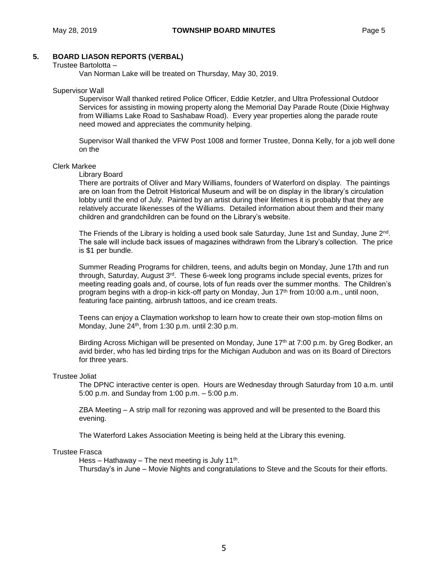# **5. BOARD LIASON REPORTS (VERBAL)**

#### Trustee Bartolotta –

Van Norman Lake will be treated on Thursday, May 30, 2019.

#### Supervisor Wall

Supervisor Wall thanked retired Police Officer, Eddie Ketzler, and Ultra Professional Outdoor Services for assisting in mowing property along the Memorial Day Parade Route (Dixie Highway from Williams Lake Road to Sashabaw Road). Every year properties along the parade route need mowed and appreciates the community helping.

Supervisor Wall thanked the VFW Post 1008 and former Trustee, Donna Kelly, for a job well done on the

#### Clerk Markee

#### Library Board

There are portraits of Oliver and Mary Williams, founders of Waterford on display. The paintings are on loan from the Detroit Historical Museum and will be on display in the library's circulation lobby until the end of July. Painted by an artist during their lifetimes it is probably that they are relatively accurate likenesses of the Williams. Detailed information about them and their many children and grandchildren can be found on the Library's website.

The Friends of the Library is holding a used book sale Saturday, June 1st and Sunday, June 2<sup>nd</sup>. The sale will include back issues of magazines withdrawn from the Library's collection. The price is \$1 per bundle.

Summer Reading Programs for children, teens, and adults begin on Monday, June 17th and run through, Saturday, August 3rd. These 6-week long programs include special events, prizes for meeting reading goals and, of course, lots of fun reads over the summer months. The Children's program begins with a drop-in kick-off party on Monday, Jun 17<sup>th</sup> from 10:00 a.m., until noon, featuring face painting, airbrush tattoos, and ice cream treats.

Teens can enjoy a Claymation workshop to learn how to create their own stop-motion films on Monday, June 24<sup>th</sup>, from 1:30 p.m. until 2:30 p.m.

Birding Across Michigan will be presented on Monday, June 17<sup>th</sup> at 7:00 p.m. by Greg Bodker, an avid birder, who has led birding trips for the Michigan Audubon and was on its Board of Directors for three years.

## Trustee Joliat

The DPNC interactive center is open. Hours are Wednesday through Saturday from 10 a.m. until 5:00 p.m. and Sunday from 1:00 p.m. – 5:00 p.m.

ZBA Meeting – A strip mall for rezoning was approved and will be presented to the Board this evening.

The Waterford Lakes Association Meeting is being held at the Library this evening.

## Trustee Frasca

Hess – Hathaway – The next meeting is July 11<sup>th</sup>. Thursday's in June – Movie Nights and congratulations to Steve and the Scouts for their efforts.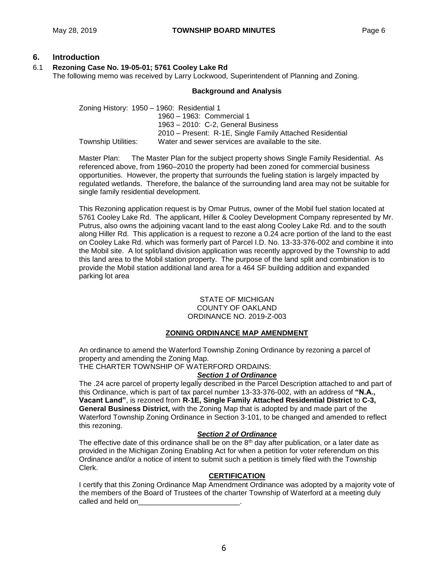# **6. Introduction**

# 6.1 **Rezoning Case No. 19-05-01; 5761 Cooley Lake Rd**

The following memo was received by Larry Lockwood, Superintendent of Planning and Zoning.

## **Background and Analysis**

Zoning History: 1950 – 1960: Residential 1 1960 – 1963: Commercial 1 1963 – 2010: C-2, General Business 2010 – Present: R-1E, Single Family Attached Residential Township Utilities: Water and sewer services are available to the site.

Master Plan: The Master Plan for the subject property shows Single Family Residential. As referenced above, from 1960–2010 the property had been zoned for commercial business opportunities. However, the property that surrounds the fueling station is largely impacted by regulated wetlands. Therefore, the balance of the surrounding land area may not be suitable for single family residential development.

This Rezoning application request is by Omar Putrus, owner of the Mobil fuel station located at 5761 Cooley Lake Rd. The applicant, Hiller & Cooley Development Company represented by Mr. Putrus, also owns the adjoining vacant land to the east along Cooley Lake Rd. and to the south along Hiller Rd. This application is a request to rezone a 0.24 acre portion of the land to the east on Cooley Lake Rd. which was formerly part of Parcel I.D. No. 13-33-376-002 and combine it into the Mobil site. A lot split/land division application was recently approved by the Township to add this land area to the Mobil station property. The purpose of the land split and combination is to provide the Mobil station additional land area for a 464 SF building addition and expanded parking lot area

## STATE OF MICHIGAN COUNTY OF OAKLAND ORDINANCE NO. 2019-Z-003

# **ZONING ORDINANCE MAP AMENDMENT**

An ordinance to amend the Waterford Township Zoning Ordinance by rezoning a parcel of property and amending the Zoning Map.

THE CHARTER TOWNSHIP OF WATERFORD ORDAINS:

## *Section 1 of Ordinance*

The .24 acre parcel of property legally described in the Parcel Description attached to and part of this Ordinance, which is part of tax parcel number 13-33-376-002, with an address of **"N.A., Vacant Land"**, is rezoned from **R-1E, Single Family Attached Residential District** to **C-3, General Business District,** with the Zoning Map that is adopted by and made part of the Waterford Township Zoning Ordinance in Section 3-101, to be changed and amended to reflect this rezoning.

# *Section 2 of Ordinance*

The effective date of this ordinance shall be on the  $8<sup>th</sup>$  day after publication, or a later date as provided in the Michigan Zoning Enabling Act for when a petition for voter referendum on this Ordinance and/or a notice of intent to submit such a petition is timely filed with the Township Clerk.

# **CERTIFICATION**

I certify that this Zoning Ordinance Map Amendment Ordinance was adopted by a majority vote of the members of the Board of Trustees of the charter Township of Waterford at a meeting duly called and held on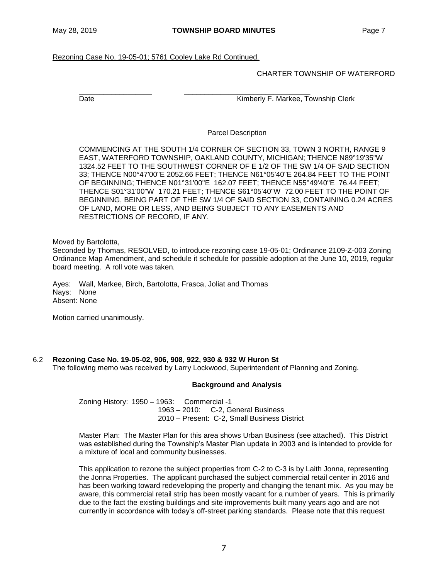Rezoning Case No. 19-05-01; 5761 Cooley Lake Rd Continued.

CHARTER TOWNSHIP OF WATERFORD

\_\_\_\_\_\_\_\_\_\_\_\_\_\_\_\_\_\_ \_\_\_\_\_\_\_\_\_\_\_\_\_\_\_\_\_\_\_\_\_\_\_\_\_\_\_\_\_\_\_

Date **Contract Contract Contract Contract Contract Contract Contract Contract Contract Contract Contract Contract Contract Contract Contract Contract Contract Contract Contract Contract Contract Contract Contract Contract** 

Parcel Description

COMMENCING AT THE SOUTH 1/4 CORNER OF SECTION 33, TOWN 3 NORTH, RANGE 9 EAST, WATERFORD TOWNSHIP, OAKLAND COUNTY, MICHIGAN; THENCE N89°19'35"W 1324.52 FEET TO THE SOUTHWEST CORNER OF E 1/2 OF THE SW 1/4 OF SAID SECTION 33; THENCE N00°47'00"E 2052.66 FEET; THENCE N61°05'40"E 264.84 FEET TO THE POINT OF BEGINNING; THENCE N01°31'00"E 162.07 FEET; THENCE N55°49'40"E 76.44 FEET; THENCE S01°31'00"W 170.21 FEET; THENCE S61°05'40"W 72.00 FEET TO THE POINT OF BEGINNING, BEING PART OF THE SW 1/4 OF SAID SECTION 33, CONTAINING 0.24 ACRES OF LAND, MORE OR LESS, AND BEING SUBJECT TO ANY EASEMENTS AND RESTRICTIONS OF RECORD, IF ANY.

Moved by Bartolotta,

Seconded by Thomas, RESOLVED, to introduce rezoning case 19-05-01; Ordinance 2109-Z-003 Zoning Ordinance Map Amendment, and schedule it schedule for possible adoption at the June 10, 2019, regular board meeting. A roll vote was taken.

Ayes: Wall, Markee, Birch, Bartolotta, Frasca, Joliat and Thomas Nays: None Absent: None

Motion carried unanimously.

# 6.2 **Rezoning Case No. 19-05-02, 906, 908, 922, 930 & 932 W Huron St**

The following memo was received by Larry Lockwood, Superintendent of Planning and Zoning.

## **Background and Analysis**

Zoning History: 1950 – 1963: Commercial -1 1963 – 2010: C-2, General Business 2010 – Present: C-2, Small Business District

Master Plan: The Master Plan for this area shows Urban Business (see attached). This District was established during the Township's Master Plan update in 2003 and is intended to provide for a mixture of local and community businesses.

This application to rezone the subject properties from C-2 to C-3 is by Laith Jonna, representing the Jonna Properties. The applicant purchased the subject commercial retail center in 2016 and has been working toward redeveloping the property and changing the tenant mix. As you may be aware, this commercial retail strip has been mostly vacant for a number of years. This is primarily due to the fact the existing buildings and site improvements built many years ago and are not currently in accordance with today's off-street parking standards. Please note that this request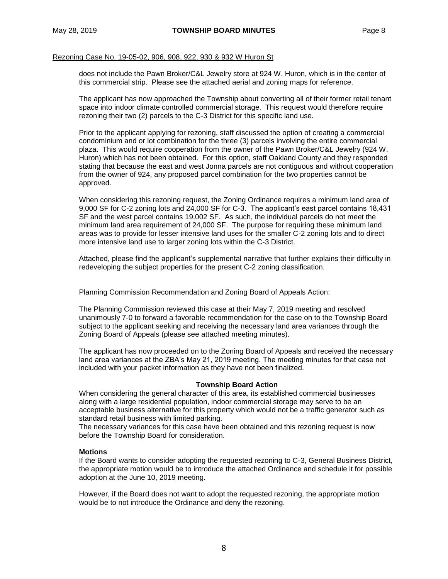## Rezoning Case No. 19-05-02, 906, 908, 922, 930 & 932 W Huron St

does not include the Pawn Broker/C&L Jewelry store at 924 W. Huron, which is in the center of this commercial strip. Please see the attached aerial and zoning maps for reference.

The applicant has now approached the Township about converting all of their former retail tenant space into indoor climate controlled commercial storage. This request would therefore require rezoning their two (2) parcels to the C-3 District for this specific land use.

Prior to the applicant applying for rezoning, staff discussed the option of creating a commercial condominium and or lot combination for the three (3) parcels involving the entire commercial plaza. This would require cooperation from the owner of the Pawn Broker/C&L Jewelry (924 W. Huron) which has not been obtained. For this option, staff Oakland County and they responded stating that because the east and west Jonna parcels are not contiguous and without cooperation from the owner of 924, any proposed parcel combination for the two properties cannot be approved.

When considering this rezoning request, the Zoning Ordinance requires a minimum land area of 9,000 SF for C-2 zoning lots and 24,000 SF for C-3. The applicant's east parcel contains 18,431 SF and the west parcel contains 19,002 SF. As such, the individual parcels do not meet the minimum land area requirement of 24,000 SF. The purpose for requiring these minimum land areas was to provide for lesser intensive land uses for the smaller C-2 zoning lots and to direct more intensive land use to larger zoning lots within the C-3 District.

Attached, please find the applicant's supplemental narrative that further explains their difficulty in redeveloping the subject properties for the present C-2 zoning classification.

Planning Commission Recommendation and Zoning Board of Appeals Action:

The Planning Commission reviewed this case at their May 7, 2019 meeting and resolved unanimously 7-0 to forward a favorable recommendation for the case on to the Township Board subject to the applicant seeking and receiving the necessary land area variances through the Zoning Board of Appeals (please see attached meeting minutes).

The applicant has now proceeded on to the Zoning Board of Appeals and received the necessary land area variances at the ZBA's May 21, 2019 meeting. The meeting minutes for that case not included with your packet information as they have not been finalized.

#### **Township Board Action**

When considering the general character of this area, its established commercial businesses along with a large residential population, indoor commercial storage may serve to be an acceptable business alternative for this property which would not be a traffic generator such as standard retail business with limited parking.

The necessary variances for this case have been obtained and this rezoning request is now before the Township Board for consideration.

## **Motions**

If the Board wants to consider adopting the requested rezoning to C-3, General Business District, the appropriate motion would be to introduce the attached Ordinance and schedule it for possible adoption at the June 10, 2019 meeting.

However, if the Board does not want to adopt the requested rezoning, the appropriate motion would be to not introduce the Ordinance and deny the rezoning.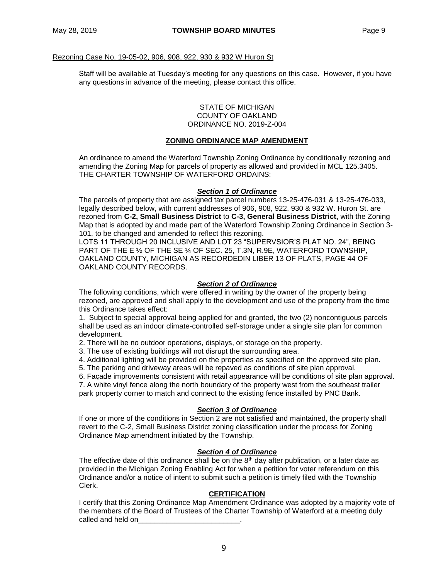## Rezoning Case No. 19-05-02, 906, 908, 922, 930 & 932 W Huron St

Staff will be available at Tuesday's meeting for any questions on this case. However, if you have any questions in advance of the meeting, please contact this office.

#### STATE OF MICHIGAN COUNTY OF OAKLAND ORDINANCE NO. 2019-Z-004

## **ZONING ORDINANCE MAP AMENDMENT**

An ordinance to amend the Waterford Township Zoning Ordinance by conditionally rezoning and amending the Zoning Map for parcels of property as allowed and provided in MCL 125.3405. THE CHARTER TOWNSHIP OF WATERFORD ORDAINS:

## *Section 1 of Ordinance*

The parcels of property that are assigned tax parcel numbers 13-25-476-031 & 13-25-476-033, legally described below, with current addresses of 906, 908, 922, 930 & 932 W. Huron St. are rezoned from **C-2, Small Business District** to **C-3, General Business District,** with the Zoning Map that is adopted by and made part of the Waterford Township Zoning Ordinance in Section 3- 101, to be changed and amended to reflect this rezoning.

LOTS 11 THROUGH 20 INCLUSIVE AND LOT 23 "SUPERVSIOR'S PLAT NO. 24", BEING PART OF THE E ½ OF THE SE ¼ OF SEC. 25, T.3N, R.9E, WATERFORD TOWNSHIP, OAKLAND COUNTY, MICHIGAN AS RECORDEDIN LIBER 13 OF PLATS, PAGE 44 OF OAKLAND COUNTY RECORDS.

## *Section 2 of Ordinance*

The following conditions, which were offered in writing by the owner of the property being rezoned, are approved and shall apply to the development and use of the property from the time this Ordinance takes effect:

1. Subject to special approval being applied for and granted, the two (2) noncontiguous parcels shall be used as an indoor climate-controlled self-storage under a single site plan for common development.

2. There will be no outdoor operations, displays, or storage on the property.

- 3. The use of existing buildings will not disrupt the surrounding area.
- 4. Additional lighting will be provided on the properties as specified on the approved site plan.

5. The parking and driveway areas will be repaved as conditions of site plan approval.

6. Façade improvements consistent with retail appearance will be conditions of site plan approval.

7. A white vinyl fence along the north boundary of the property west from the southeast trailer park property corner to match and connect to the existing fence installed by PNC Bank.

## *Section 3 of Ordinance*

If one or more of the conditions in Section 2 are not satisfied and maintained, the property shall revert to the C-2, Small Business District zoning classification under the process for Zoning Ordinance Map amendment initiated by the Township.

# *Section 4 of Ordinance*

The effective date of this ordinance shall be on the  $8<sup>th</sup>$  day after publication, or a later date as provided in the Michigan Zoning Enabling Act for when a petition for voter referendum on this Ordinance and/or a notice of intent to submit such a petition is timely filed with the Township Clerk.

## **CERTIFICATION**

I certify that this Zoning Ordinance Map Amendment Ordinance was adopted by a majority vote of the members of the Board of Trustees of the Charter Township of Waterford at a meeting duly called and held on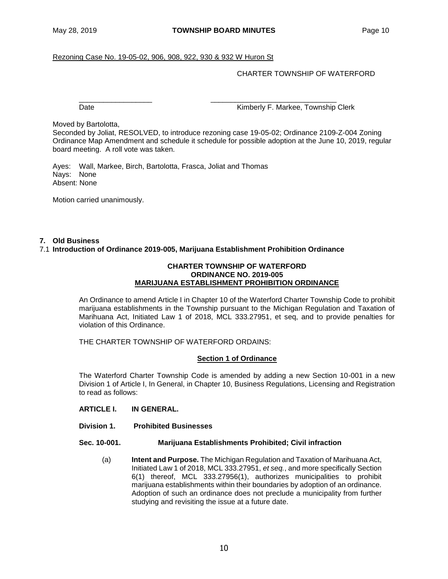## Rezoning Case No. 19-05-02, 906, 908, 922, 930 & 932 W Huron St

## CHARTER TOWNSHIP OF WATERFORD

\_\_\_\_\_\_\_\_\_\_\_\_\_\_\_\_\_\_ \_\_\_\_\_\_\_\_\_\_\_\_\_\_\_\_\_\_\_\_\_\_\_\_\_\_\_\_\_\_\_

Date **Contract Contract Contract Contract Contract Contract Contract Contract Contract Contract Contract Contract Contract Contract Contract Contract Contract Contract Contract Contract Contract Contract Contract Contract** 

Moved by Bartolotta,

Seconded by Joliat, RESOLVED, to introduce rezoning case 19-05-02; Ordinance 2109-Z-004 Zoning Ordinance Map Amendment and schedule it schedule for possible adoption at the June 10, 2019, regular board meeting. A roll vote was taken.

Ayes: Wall, Markee, Birch, Bartolotta, Frasca, Joliat and Thomas Nays: None Absent: None

Motion carried unanimously.

## **7. Old Business**

## 7.1 **Introduction of Ordinance 2019-005, Marijuana Establishment Prohibition Ordinance**

#### **CHARTER TOWNSHIP OF WATERFORD ORDINANCE NO. 2019-005 MARIJUANA ESTABLISHMENT PROHIBITION ORDINANCE**

An Ordinance to amend Article I in Chapter 10 of the Waterford Charter Township Code to prohibit marijuana establishments in the Township pursuant to the Michigan Regulation and Taxation of Marihuana Act, Initiated Law 1 of 2018, MCL 333.27951, et seq, and to provide penalties for violation of this Ordinance.

THE CHARTER TOWNSHIP OF WATERFORD ORDAINS:

## **Section 1 of Ordinance**

The Waterford Charter Township Code is amended by adding a new Section 10-001 in a new Division 1 of Article I, In General, in Chapter 10, Business Regulations, Licensing and Registration to read as follows:

- **ARTICLE I. IN GENERAL.**
- **Division 1. Prohibited Businesses**

#### **Sec. 10-001. Marijuana Establishments Prohibited; Civil infraction**

(a) **Intent and Purpose.** The Michigan Regulation and Taxation of Marihuana Act, Initiated Law 1 of 2018, MCL 333.27951, *et seq.*, and more specifically Section 6(1) thereof, MCL 333.27956(1), authorizes municipalities to prohibit marijuana establishments within their boundaries by adoption of an ordinance. Adoption of such an ordinance does not preclude a municipality from further studying and revisiting the issue at a future date.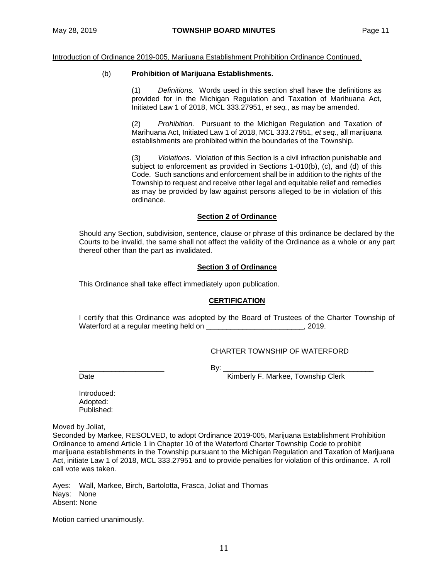Introduction of Ordinance 2019-005, Marijuana Establishment Prohibition Ordinance Continued.

## (b) **Prohibition of Marijuana Establishments.**

(1) *Definitions.* Words used in this section shall have the definitions as provided for in the Michigan Regulation and Taxation of Marihuana Act, Initiated Law 1 of 2018, MCL 333.27951, *et seq.*, as may be amended.

(2) *Prohibition.* Pursuant to the Michigan Regulation and Taxation of Marihuana Act, Initiated Law 1 of 2018, MCL 333.27951, *et seq*., all marijuana establishments are prohibited within the boundaries of the Township.

(3) *Violations.* Violation of this Section is a civil infraction punishable and subject to enforcement as provided in Sections 1-010(b), (c), and (d) of this Code. Such sanctions and enforcement shall be in addition to the rights of the Township to request and receive other legal and equitable relief and remedies as may be provided by law against persons alleged to be in violation of this ordinance.

## **Section 2 of Ordinance**

Should any Section, subdivision, sentence, clause or phrase of this ordinance be declared by the Courts to be invalid, the same shall not affect the validity of the Ordinance as a whole or any part thereof other than the part as invalidated.

## **Section 3 of Ordinance**

This Ordinance shall take effect immediately upon publication.

## **CERTIFICATION**

I certify that this Ordinance was adopted by the Board of Trustees of the Charter Township of Waterford at a regular meeting held on example 2019.

# CHARTER TOWNSHIP OF WATERFORD

\_\_\_\_\_\_\_\_\_\_\_\_\_\_\_\_\_\_\_\_\_ By: \_\_\_\_\_\_\_\_\_\_\_\_\_\_\_\_\_\_\_\_\_\_\_\_\_\_\_\_\_\_\_\_\_\_\_\_\_

Date **Contract Contract Contract Contract Contract Contract Contract Contract Contract Contract Contract Contract Contract Contract Contract Contract Contract Contract Contract Contract Contract Contract Contract Contract** 

Introduced:

Adopted: Published:

Moved by Joliat,

Seconded by Markee, RESOLVED, to adopt Ordinance 2019-005, Marijuana Establishment Prohibition Ordinance to amend Article 1 in Chapter 10 of the Waterford Charter Township Code to prohibit marijuana establishments in the Township pursuant to the Michigan Regulation and Taxation of Marijuana Act, initiate Law 1 of 2018, MCL 333.27951 and to provide penalties for violation of this ordinance. A roll call vote was taken.

Ayes: Wall, Markee, Birch, Bartolotta, Frasca, Joliat and Thomas Nays: None Absent: None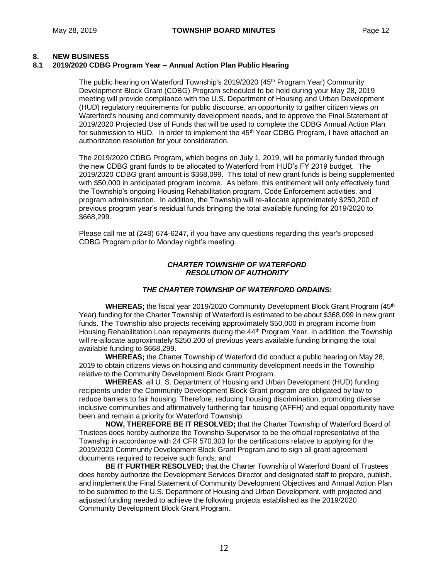# **8. NEW BUSINESS**

## **8.1 2019/2020 CDBG Program Year – Annual Action Plan Public Hearing**

The public hearing on Waterford Township's 2019/2020 (45<sup>th</sup> Program Year) Community Development Block Grant (CDBG) Program scheduled to be held during your May 28, 2019 meeting will provide compliance with the U.S. Department of Housing and Urban Development (HUD) regulatory requirements for public discourse, an opportunity to gather citizen views on Waterford's housing and community development needs, and to approve the Final Statement of 2019/2020 Projected Use of Funds that will be used to complete the CDBG Annual Action Plan for submission to HUD. In order to implement the 45<sup>th</sup> Year CDBG Program, I have attached an authorization resolution for your consideration.

The 2019/2020 CDBG Program, which begins on July 1, 2019, will be primarily funded through the new CDBG grant funds to be allocated to Waterford from HUD's FY 2019 budget. The 2019/2020 CDBG grant amount is \$368,099. This total of new grant funds is being supplemented with \$50,000 in anticipated program income. As before, this entitlement will only effectively fund the Township's ongoing Housing Rehabilitation program, Code Enforcement activities, and program administration. In addition, the Township will re-allocate approximately \$250,200 of previous program year's residual funds bringing the total available funding for 2019/2020 to \$668,299.

Please call me at (248) 674-6247, if you have any questions regarding this year's proposed CDBG Program prior to Monday night's meeting.

## *CHARTER TOWNSHIP OF WATERFORD RESOLUTION OF AUTHORITY*

## *THE CHARTER TOWNSHIP OF WATERFORD ORDAINS:*

**WHEREAS**; the fiscal year 2019/2020 Community Development Block Grant Program (45<sup>th</sup>) Year) funding for the Charter Township of Waterford is estimated to be about \$368,099 in new grant funds. The Township also projects receiving approximately \$50,000 in program income from Housing Rehabilitation Loan repayments during the 44<sup>th</sup> Program Year. In addition, the Township will re-allocate approximately \$250,200 of previous years available funding bringing the total available funding to \$668,299.

**WHEREAS;** the Charter Township of Waterford did conduct a public hearing on May 28, 2019 to obtain citizens views on housing and community development needs in the Township relative to the Community Development Block Grant Program.

**WHEREAS**; all U. S. Department of Housing and Urban Development (HUD) funding recipients under the Community Development Block Grant program are obligated by law to reduce barriers to fair housing. Therefore, reducing housing discrimination, promoting diverse inclusive communities and affirmatively furthering fair housing (AFFH) and equal opportunity have been and remain a priority for Waterford Township.

**NOW, THEREFORE BE IT RESOLVED;** that the Charter Township of Waterford Board of Trustees does hereby authorize the Township Supervisor to be the official representative of the Township in accordance with 24 CFR 570.303 for the certifications relative to applying for the 2019/2020 Community Development Block Grant Program and to sign all grant agreement documents required to receive such funds; and

**BE IT FURTHER RESOLVED;** that the Charter Township of Waterford Board of Trustees does hereby authorize the Development Services Director and designated staff to prepare, publish, and implement the Final Statement of Community Development Objectives and Annual Action Plan to be submitted to the U.S. Department of Housing and Urban Development, with projected and adjusted funding needed to achieve the following projects established as the 2019/2020 Community Development Block Grant Program.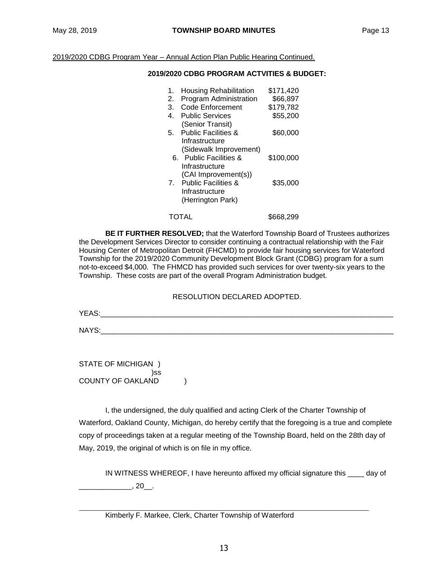2019/2020 CDBG Program Year – Annual Action Plan Public Hearing Continued.

## **2019/2020 CDBG PROGRAM ACTVITIES & BUDGET:**

| 1.<br>2.<br>3.<br>4. | <b>Housing Rehabilitation</b><br>Program Administration<br><b>Code Enforcement</b><br><b>Public Services</b><br>(Senior Transit) | \$171,420<br>\$66,897<br>\$179.782<br>\$55,200 |
|----------------------|----------------------------------------------------------------------------------------------------------------------------------|------------------------------------------------|
| 5.                   | <b>Public Facilities &amp;</b><br>Infrastructure<br>(Sidewalk Improvement)                                                       | \$60,000                                       |
|                      | 6. Public Facilities &<br>Infrastructure<br>(CAI Improvement(s))                                                                 | \$100,000                                      |
|                      | 7. Public Facilities &<br>Infrastructure<br>(Herrington Park)                                                                    | \$35,000                                       |
|                      | <b>TOTAL</b>                                                                                                                     | \$668.299                                      |

**BE IT FURTHER RESOLVED;** that the Waterford Township Board of Trustees authorizes the Development Services Director to consider continuing a contractual relationship with the Fair Housing Center of Metropolitan Detroit (FHCMD) to provide fair housing services for Waterford Township for the 2019/2020 Community Development Block Grant (CDBG) program for a sum not-to-exceed \$4,000. The FHMCD has provided such services for over twenty-six years to the Township. These costs are part of the overall Program Administration budget.

## RESOLUTION DECLARED ADOPTED.

YEAS:\_\_\_\_\_\_\_\_\_\_\_\_\_\_\_\_\_\_\_\_\_\_\_\_\_\_\_\_\_\_\_\_\_\_\_\_\_\_\_\_\_\_\_\_\_\_\_\_\_\_\_\_\_\_\_\_\_\_\_\_\_\_\_\_\_\_\_\_\_\_\_\_

 $NAYS:$ 

STATE OF MICHIGAN ) )ss COUNTY OF OAKLAND )

I, the undersigned, the duly qualified and acting Clerk of the Charter Township of Waterford, Oakland County, Michigan, do hereby certify that the foregoing is a true and complete copy of proceedings taken at a regular meeting of the Township Board, held on the 28th day of May, 2019, the original of which is on file in my office.

IN WITNESS WHEREOF, I have hereunto affixed my official signature this \_\_\_\_ day of  $, 20$ .

Kimberly F. Markee, Clerk, Charter Township of Waterford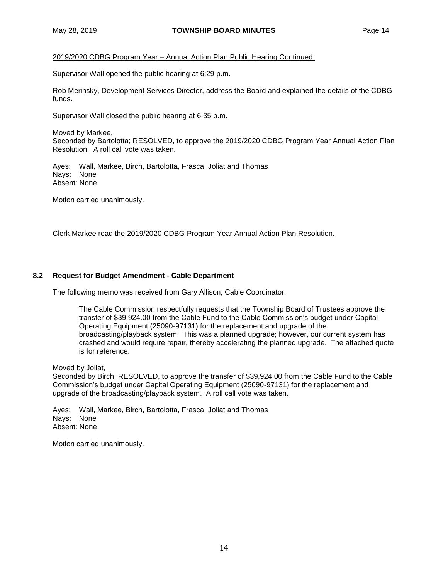2019/2020 CDBG Program Year – Annual Action Plan Public Hearing Continued.

Supervisor Wall opened the public hearing at 6:29 p.m.

Rob Merinsky, Development Services Director, address the Board and explained the details of the CDBG funds.

Supervisor Wall closed the public hearing at 6:35 p.m.

Moved by Markee,

Seconded by Bartolotta; RESOLVED, to approve the 2019/2020 CDBG Program Year Annual Action Plan Resolution. A roll call vote was taken.

Ayes: Wall, Markee, Birch, Bartolotta, Frasca, Joliat and Thomas Nays: None Absent: None

Motion carried unanimously.

Clerk Markee read the 2019/2020 CDBG Program Year Annual Action Plan Resolution.

# **8.2 Request for Budget Amendment - Cable Department**

The following memo was received from Gary Allison, Cable Coordinator.

The Cable Commission respectfully requests that the Township Board of Trustees approve the transfer of \$39,924.00 from the Cable Fund to the Cable Commission's budget under Capital Operating Equipment (25090-97131) for the replacement and upgrade of the broadcasting/playback system. This was a planned upgrade; however, our current system has crashed and would require repair, thereby accelerating the planned upgrade. The attached quote is for reference.

Moved by Joliat,

Seconded by Birch; RESOLVED, to approve the transfer of \$39,924.00 from the Cable Fund to the Cable Commission's budget under Capital Operating Equipment (25090-97131) for the replacement and upgrade of the broadcasting/playback system. A roll call vote was taken.

Ayes: Wall, Markee, Birch, Bartolotta, Frasca, Joliat and Thomas Nays: None Absent: None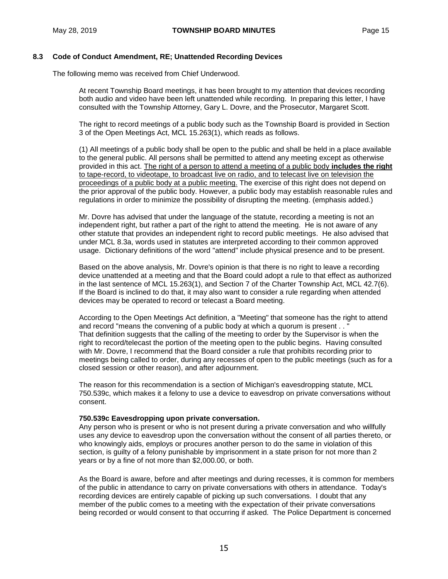## **8.3 Code of Conduct Amendment, RE; Unattended Recording Devices**

The following memo was received from Chief Underwood.

At recent Township Board meetings, it has been brought to my attention that devices recording both audio and video have been left unattended while recording. In preparing this letter, I have consulted with the Township Attorney, Gary L. Dovre, and the Prosecutor, Margaret Scott.

The right to record meetings of a public body such as the Township Board is provided in Section 3 of the Open Meetings Act, MCL 15.263(1), which reads as follows.

(1) All meetings of a public body shall be open to the public and shall be held in a place available to the general public. All persons shall be permitted to attend any meeting except as otherwise provided in this act. The right of a person to attend a meeting of a public body **includes the right** to tape-record, to videotape, to broadcast live on radio, and to telecast live on television the proceedings of a public body at a public meeting. The exercise of this right does not depend on the prior approval of the public body. However, a public body may establish reasonable rules and regulations in order to minimize the possibility of disrupting the meeting. (emphasis added.)

Mr. Dovre has advised that under the language of the statute, recording a meeting is not an independent right, but rather a part of the right to attend the meeting. He is not aware of any other statute that provides an independent right to record public meetings. He also advised that under MCL 8.3a, words used in statutes are interpreted according to their common approved usage. Dictionary definitions of the word "attend" include physical presence and to be present.

Based on the above analysis, Mr. Dovre's opinion is that there is no right to leave a recording device unattended at a meeting and that the Board could adopt a rule to that effect as authorized in the last sentence of MCL 15.263(1), and Section 7 of the Charter Township Act, MCL 42.7(6). If the Board is inclined to do that, it may also want to consider a rule regarding when attended devices may be operated to record or telecast a Board meeting.

According to the Open Meetings Act definition, a "Meeting" that someone has the right to attend and record "means the convening of a public body at which a quorum is present . . " That definition suggests that the calling of the meeting to order by the Supervisor is when the right to record/telecast the portion of the meeting open to the public begins. Having consulted with Mr. Dovre, I recommend that the Board consider a rule that prohibits recording prior to meetings being called to order, during any recesses of open to the public meetings (such as for a closed session or other reason), and after adjournment.

The reason for this recommendation is a section of Michigan's eavesdropping statute, MCL 750.539c, which makes it a felony to use a device to eavesdrop on private conversations without consent.

#### **750.539c Eavesdropping upon private conversation.**

Any person who is present or who is not present during a private conversation and who willfully uses any device to eavesdrop upon the conversation without the consent of all parties thereto, or who knowingly aids, employs or procures another person to do the same in violation of this section, is guilty of a felony punishable by imprisonment in a state prison for not more than 2 years or by a fine of not more than \$2,000.00, or both.

As the Board is aware, before and after meetings and during recesses, it is common for members of the public in attendance to carry on private conversations with others in attendance. Today's recording devices are entirely capable of picking up such conversations. I doubt that any member of the public comes to a meeting with the expectation of their private conversations being recorded or would consent to that occurring if asked. The Police Department is concerned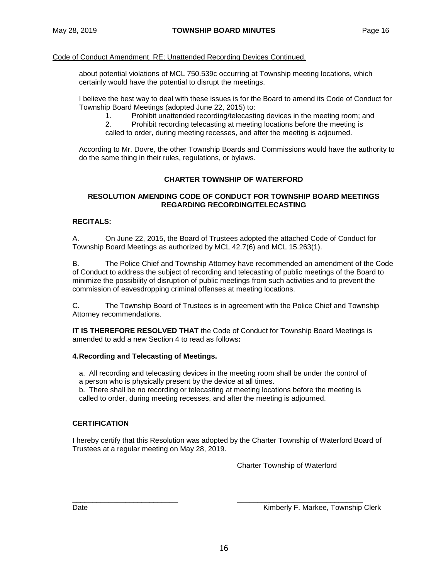## Code of Conduct Amendment, RE; Unattended Recording Devices Continued.

about potential violations of MCL 750.539c occurring at Township meeting locations, which certainly would have the potential to disrupt the meetings.

I believe the best way to deal with these issues is for the Board to amend its Code of Conduct for Township Board Meetings (adopted June 22, 2015) to:

1. Prohibit unattended recording/telecasting devices in the meeting room; and

2. Prohibit recording telecasting at meeting locations before the meeting is called to order, during meeting recesses, and after the meeting is adjourned.

According to Mr. Dovre, the other Township Boards and Commissions would have the authority to do the same thing in their rules, regulations, or bylaws.

## **CHARTER TOWNSHIP OF WATERFORD**

## **RESOLUTION AMENDING CODE OF CONDUCT FOR TOWNSHIP BOARD MEETINGS REGARDING RECORDING/TELECASTING**

# **RECITALS:**

A. On June 22, 2015, the Board of Trustees adopted the attached Code of Conduct for Township Board Meetings as authorized by MCL 42.7(6) and MCL 15.263(1).

B. The Police Chief and Township Attorney have recommended an amendment of the Code of Conduct to address the subject of recording and telecasting of public meetings of the Board to minimize the possibility of disruption of public meetings from such activities and to prevent the commission of eavesdropping criminal offenses at meeting locations.

C. The Township Board of Trustees is in agreement with the Police Chief and Township Attorney recommendations.

**IT IS THEREFORE RESOLVED THAT** the Code of Conduct for Township Board Meetings is amended to add a new Section 4 to read as follows**:**

## **4.Recording and Telecasting of Meetings.**

a. All recording and telecasting devices in the meeting room shall be under the control of a person who is physically present by the device at all times.

b. There shall be no recording or telecasting at meeting locations before the meeting is called to order, during meeting recesses, and after the meeting is adjourned.

## **CERTIFICATION**

I hereby certify that this Resolution was adopted by the Charter Township of Waterford Board of Trustees at a regular meeting on May 28, 2019.

Charter Township of Waterford

\_\_\_\_\_\_\_\_\_\_\_\_\_\_\_\_\_\_\_\_\_\_\_\_\_\_ \_\_\_\_\_\_\_\_\_\_\_\_\_\_\_\_\_\_\_\_\_\_\_\_\_\_\_\_\_\_\_ Date **Communist Communist Communist Communist Communist Communist Communist Communist Communist Communist Communist Communist Communist Communist Communist Communist Communist Communist Communist Communist Communist Commun**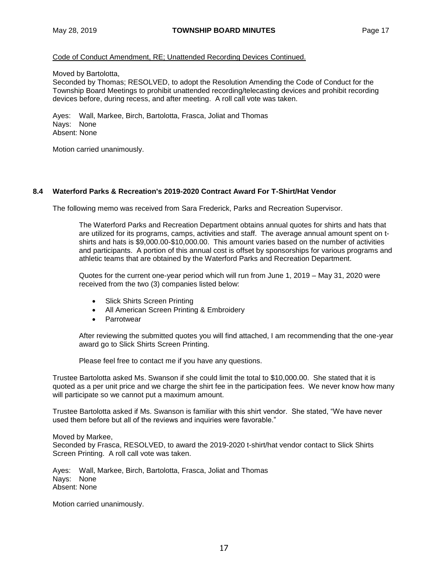## Code of Conduct Amendment, RE; Unattended Recording Devices Continued.

Moved by Bartolotta,

Seconded by Thomas; RESOLVED, to adopt the Resolution Amending the Code of Conduct for the Township Board Meetings to prohibit unattended recording/telecasting devices and prohibit recording devices before, during recess, and after meeting. A roll call vote was taken.

Ayes: Wall, Markee, Birch, Bartolotta, Frasca, Joliat and Thomas Nays: None Absent: None

Motion carried unanimously.

## **8.4 Waterford Parks & Recreation's 2019-2020 Contract Award For T-Shirt/Hat Vendor**

The following memo was received from Sara Frederick, Parks and Recreation Supervisor.

The Waterford Parks and Recreation Department obtains annual quotes for shirts and hats that are utilized for its programs, camps, activities and staff. The average annual amount spent on tshirts and hats is \$9,000.00-\$10,000.00. This amount varies based on the number of activities and participants. A portion of this annual cost is offset by sponsorships for various programs and athletic teams that are obtained by the Waterford Parks and Recreation Department.

Quotes for the current one-year period which will run from June 1, 2019 – May 31, 2020 were received from the two (3) companies listed below:

- Slick Shirts Screen Printing
- All American Screen Printing & Embroidery
- **•** Parrotwear

After reviewing the submitted quotes you will find attached, I am recommending that the one-year award go to Slick Shirts Screen Printing.

Please feel free to contact me if you have any questions.

Trustee Bartolotta asked Ms. Swanson if she could limit the total to \$10,000.00. She stated that it is quoted as a per unit price and we charge the shirt fee in the participation fees. We never know how many will participate so we cannot put a maximum amount.

Trustee Bartolotta asked if Ms. Swanson is familiar with this shirt vendor. She stated, "We have never used them before but all of the reviews and inquiries were favorable."

Moved by Markee, Seconded by Frasca, RESOLVED, to award the 2019-2020 t-shirt/hat vendor contact to Slick Shirts Screen Printing. A roll call vote was taken.

Ayes: Wall, Markee, Birch, Bartolotta, Frasca, Joliat and Thomas Nays: None Absent: None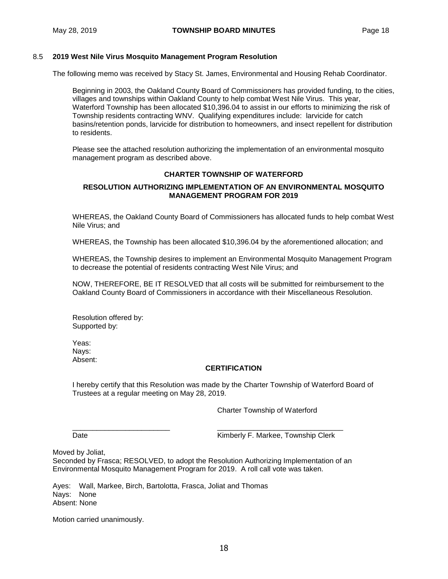## 8.5 **2019 West Nile Virus Mosquito Management Program Resolution**

The following memo was received by Stacy St. James, Environmental and Housing Rehab Coordinator.

Beginning in 2003, the Oakland County Board of Commissioners has provided funding, to the cities, villages and townships within Oakland County to help combat West Nile Virus. This year, Waterford Township has been allocated \$10,396.04 to assist in our efforts to minimizing the risk of Township residents contracting WNV. Qualifying expenditures include: larvicide for catch basins/retention ponds, larvicide for distribution to homeowners, and insect repellent for distribution to residents.

Please see the attached resolution authorizing the implementation of an environmental mosquito management program as described above.

## **CHARTER TOWNSHIP OF WATERFORD**

## **RESOLUTION AUTHORIZING IMPLEMENTATION OF AN ENVIRONMENTAL MOSQUITO MANAGEMENT PROGRAM FOR 2019**

WHEREAS, the Oakland County Board of Commissioners has allocated funds to help combat West Nile Virus; and

WHEREAS, the Township has been allocated \$10,396.04 by the aforementioned allocation; and

WHEREAS, the Township desires to implement an Environmental Mosquito Management Program to decrease the potential of residents contracting West Nile Virus; and

NOW, THEREFORE, BE IT RESOLVED that all costs will be submitted for reimbursement to the Oakland County Board of Commissioners in accordance with their Miscellaneous Resolution.

Resolution offered by: Supported by:

Yeas: Nays: Absent:

## **CERTIFICATION**

I hereby certify that this Resolution was made by the Charter Township of Waterford Board of Trustees at a regular meeting on May 28, 2019.

Charter Township of Waterford

\_\_\_\_\_\_\_\_\_\_\_\_\_\_\_\_\_\_\_\_\_\_\_\_ \_\_\_\_\_\_\_\_\_\_\_\_\_\_\_\_\_\_\_\_\_\_\_\_\_\_\_\_\_\_\_

Date **Contract Contract Contract Contract Contract Contract Contract Contract Contract Contract Contract Contract Contract Contract Contract Contract Contract Contract Contract Contract Contract Contract Contract Contract** 

Moved by Joliat,

Seconded by Frasca; RESOLVED, to adopt the Resolution Authorizing Implementation of an Environmental Mosquito Management Program for 2019. A roll call vote was taken.

Ayes: Wall, Markee, Birch, Bartolotta, Frasca, Joliat and Thomas Nays: None Absent: None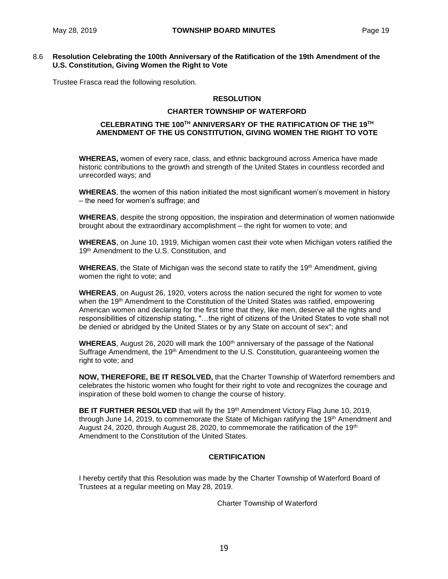## 8.6 **Resolution Celebrating the 100th Anniversary of the Ratification of the 19th Amendment of the U.S. Constitution, Giving Women the Right to Vote**

Trustee Frasca read the following resolution.

## **RESOLUTION**

#### **CHARTER TOWNSHIP OF WATERFORD**

## **CELEBRATING THE 100TH ANNIVERSARY OF THE RATIFICATION OF THE 19TH AMENDMENT OF THE US CONSTITUTION, GIVING WOMEN THE RIGHT TO VOTE**

**WHEREAS,** women of every race, class, and ethnic background across America have made historic contributions to the growth and strength of the United States in countless recorded and unrecorded ways; and

**WHEREAS**, the women of this nation initiated the most significant women's movement in history – the need for women's suffrage; and

**WHEREAS**, despite the strong opposition, the inspiration and determination of women nationwide brought about the extraordinary accomplishment – the right for women to vote; and

**WHEREAS**, on June 10, 1919, Michigan women cast their vote when Michigan voters ratified the 19<sup>th</sup> Amendment to the U.S. Constitution, and

**WHEREAS**, the State of Michigan was the second state to ratify the 19<sup>th</sup> Amendment, giving women the right to vote; and

**WHEREAS**, on August 26, 1920, voters across the nation secured the right for women to vote when the 19<sup>th</sup> Amendment to the Constitution of the United States was ratified, empowering American women and declaring for the first time that they, like men, deserve all the rights and responsibilities of citizenship stating, "…the right of citizens of the United States to vote shall not be denied or abridged by the United States or by any State on account of sex"; and

**WHEREAS**, August 26, 2020 will mark the 100<sup>th</sup> anniversary of the passage of the National Suffrage Amendment, the 19<sup>th</sup> Amendment to the U.S. Constitution, quaranteeing women the right to vote; and

**NOW, THEREFORE, BE IT RESOLVED,** that the Charter Township of Waterford remembers and celebrates the historic women who fought for their right to vote and recognizes the courage and inspiration of these bold women to change the course of history.

**BE IT FURTHER RESOLVED** that will fly the 19<sup>th</sup> Amendment Victory Flag June 10, 2019, through June 14, 2019, to commemorate the State of Michigan ratifying the 19<sup>th</sup> Amendment and August 24, 2020, through August 28, 2020, to commemorate the ratification of the 19th Amendment to the Constitution of the United States.

# **CERTIFICATION**

I hereby certify that this Resolution was made by the Charter Township of Waterford Board of Trustees at a regular meeting on May 28, 2019.

Charter Township of Waterford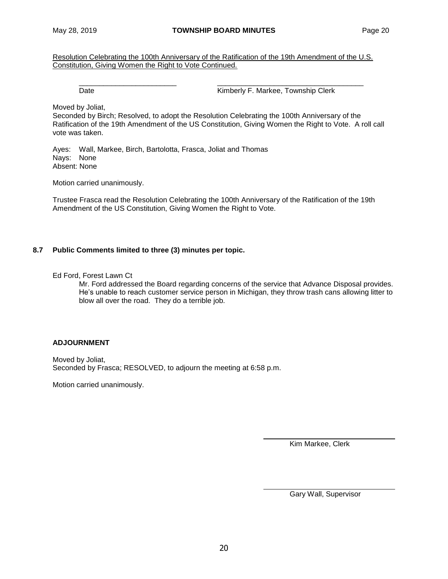Resolution Celebrating the 100th Anniversary of the Ratification of the 19th Amendment of the U.S. Constitution, Giving Women the Right to Vote Continued.

\_\_\_\_\_\_\_\_\_\_\_\_\_\_\_\_\_\_\_\_\_\_\_\_ \_\_\_\_\_\_\_\_\_\_\_\_\_\_\_\_\_\_\_\_\_\_\_\_\_\_\_\_\_\_\_\_\_\_\_\_

Date **Contract Contract Contract Contract Contract Contract Contract Contract Contract Contract Contract Contract Contract Contract Contract Contract Contract Contract Contract Contract Contract Contract Contract Contract** 

Moved by Joliat,

Seconded by Birch; Resolved, to adopt the Resolution Celebrating the 100th Anniversary of the Ratification of the 19th Amendment of the US Constitution, Giving Women the Right to Vote. A roll call vote was taken.

Ayes: Wall, Markee, Birch, Bartolotta, Frasca, Joliat and Thomas Nays: None Absent: None

Motion carried unanimously.

Trustee Frasca read the Resolution Celebrating the 100th Anniversary of the Ratification of the 19th Amendment of the US Constitution, Giving Women the Right to Vote.

## **8.7 Public Comments limited to three (3) minutes per topic.**

Ed Ford, Forest Lawn Ct

Mr. Ford addressed the Board regarding concerns of the service that Advance Disposal provides. He's unable to reach customer service person in Michigan, they throw trash cans allowing litter to blow all over the road. They do a terrible job.

## **ADJOURNMENT**

Moved by Joliat, Seconded by Frasca; RESOLVED, to adjourn the meeting at 6:58 p.m.

Motion carried unanimously.

Kim Markee, Clerk

Gary Wall, Supervisor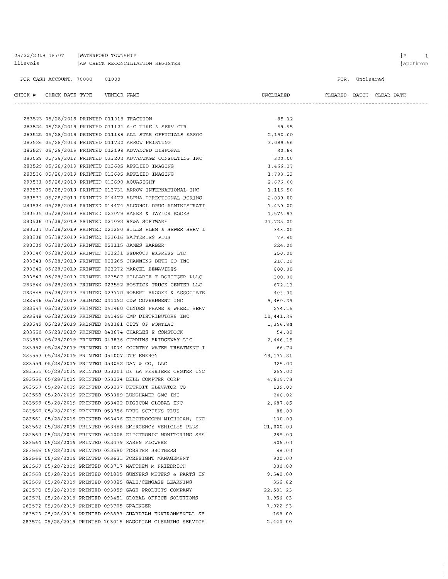05/22/2019 16:07 | WATERFORD TOWNSHIP llievois | AP CHECK RECONCILIATION REGISTER

#### FOR CASH ACCOUNT: 70000 01000

283523 05/28/2019 PRINTED 011015 TRACTION

 $\begin{tabular}{lllllll} \bf{CHECK} & \tt{H} & \tt{CHECK} & \tt{DATE} & \tt{TFB} & \tt{VENDOR} & \tt{NAME} \end{tabular}$ 

FOR: Uncleared

 $\begin{minipage}{0.9\linewidth} \textbf{ULEARENT} & \textbf{BATCH} & \textbf{CLEAR} & \textbf{DATE} \end{minipage}$ 

85.12

|  |                                             |  | 283524 05/28/2019 PRINTED 011121 A-C TIRE & SERV CTR       | 59.95     |  |
|--|---------------------------------------------|--|------------------------------------------------------------|-----------|--|
|  |                                             |  | 283525 05/28/2019 PRINTED 011188 ALL STAR OFFICIALS ASSOC  | 2,150.00  |  |
|  |                                             |  | 283526 05/28/2019 PRINTED 011730 ARROW PRINTING            | 3,099.56  |  |
|  |                                             |  | 283527 05/28/2019 PRINTED 013198 ADVANCED DISPOSAL         | 80.64     |  |
|  |                                             |  | 283528 05/28/2019 PRINTED 013202 ADVANTAGE CONSULTING INC  | 300.00    |  |
|  |                                             |  | 283529 05/28/2019 PRINTED 013685 APPLIED IMAGING           | 1,466.17  |  |
|  |                                             |  | 283530 05/28/2019 PRINTED 013685 APPLIED IMAGING           | 1,783.23  |  |
|  | 283531 05/28/2019 PRINTED 013690 AQUASIGHT  |  |                                                            | 2,676.00  |  |
|  |                                             |  | 283532 05/28/2019 PRINTED 013731 ARROW INTERNATIONAL INC   | 1,115.50  |  |
|  |                                             |  | 283533 05/28/2019 PRINTED 014472 ALPHA DIRECTIONAL BORING  | 2,000.00  |  |
|  |                                             |  | 283534 05/28/2019 PRINTED 014474 ALCOHOL DRUG ADMINISTRATI | 1,430.00  |  |
|  |                                             |  | 283535 05/28/2019 PRINTED 021079 BAKER & TAYLOR BOOKS      | 1,576.83  |  |
|  |                                             |  | 283536 05/28/2019 PRINTED 021092 BS&A SOFTWARE             | 27,725.00 |  |
|  |                                             |  | 283537 05/28/2019 PRINTED 021380 BILLS PLBG & SEWER SERV I | 348.00    |  |
|  |                                             |  | 283538 05/28/2019 PRINTED 023016 BATTERIES PLUS            | 79.80     |  |
|  |                                             |  | 283539 05/28/2019 PRINTED 023115 JAMES BARBER              | 224.00    |  |
|  |                                             |  | 283540 05/28/2019 PRINTED 023231 BEDROCK EXPRESS LTD       | 350.00    |  |
|  |                                             |  | 283541 05/28/2019 PRINTED 023265 CHANNING BETE CO INC      | 216.20    |  |
|  |                                             |  | 283542 05/28/2019 PRINTED 023272 MARCEL BENAVIDES          | 800.00    |  |
|  |                                             |  | 283543 05/28/2019 PRINTED 023587 HILLARIE F BOETTGER PLLC  | 300.00    |  |
|  |                                             |  | 283544 05/28/2019 PRINTED 023592 BOSTICK TRUCK CENTER LLC  | 672.13    |  |
|  |                                             |  | 283545 05/28/2019 PRINTED 023770 ROBERT BROOKE & ASSOCIATE | 403.00    |  |
|  |                                             |  | 283546 05/28/2019 PRINTED 041192 CDW GOVERNMENT INC        | 5,460.39  |  |
|  |                                             |  | 283547 05/28/2019 PRINTED 041460 CLYDES FRAME & WHEEL SERV | 274.16    |  |
|  |                                             |  | 283548 05/28/2019 PRINTED 041495 CMP DISTRIBUTORS INC      | 10,441.35 |  |
|  |                                             |  | 283549 05/28/2019 PRINTED 043381 CITY OF PONTIAC           | 1,396.84  |  |
|  |                                             |  | 283550 05/28/2019 PRINTED 043674 CHARLES E COMSTOCK        | 54.00     |  |
|  |                                             |  | 283551 05/28/2019 PRINTED 043836 CUMMINS BRIDGEWAY LLC     | 2,446.15  |  |
|  |                                             |  | 283552 05/28/2019 PRINTED 044074 COUNTRY WATER TREATMENT I | 66.74     |  |
|  | 283553 05/28/2019 PRINTED 051007 DTE ENERGY |  |                                                            | 49,177.81 |  |
|  |                                             |  | 283554 05/28/2019 PRINTED 053052 DAN & CO, LLC             | 325.00    |  |
|  |                                             |  | 283555 05/28/2019 PRINTED 053201 DE LA FERRIERE CENTER INC | 259.00    |  |
|  |                                             |  | 283556 05/28/2019 PRINTED 053224 DELL COMPTER CORP         | 4,619.78  |  |
|  |                                             |  | 283557 05/28/2019 PRINTED 053237 DETROIT ELEVATOR CO       | 139.00    |  |
|  |                                             |  | 283558 05/28/2019 PRINTED 053389 LUNGHAMER GMC INC         | 200.02    |  |
|  |                                             |  | 283559 05/28/2019 PRINTED 053422 DIGICOM GLOBAL INC        | 2,687.85  |  |
|  |                                             |  | 283560 05/28/2019 PRINTED 053756 DRUG SCREENS PLUS         | 88.00     |  |
|  |                                             |  | 283561 05/28/2019 PRINTED 063476 ELECTROCOMM-MICHIGAN, INC | 130.00    |  |
|  |                                             |  | 283562 05/28/2019 PRINTED 063488 EMERGENCY VEHICLES PLUS   | 21,000.00 |  |
|  |                                             |  | 283563 05/28/2019 PRINTED 064008 ELECTRONIC MONITORING SYS | 285.00    |  |
|  |                                             |  | 283564 05/28/2019 PRINTED 083479 KAREN FLOWERS             | 506.00    |  |
|  |                                             |  | 283565 05/28/2019 PRINTED 083580 FORSTER BROTHERS          | 88.00     |  |
|  |                                             |  | 283566 05/28/2019 PRINTED 083631 FORESIGHT MANAGEMENT      | 900.00    |  |
|  |                                             |  | 283567 05/28/2019 PRINTED 083717 MATTHEW M FRIEDRICH       | 300.00    |  |
|  |                                             |  | 283568 05/28/2019 PRINTED 091835 GUNNERS METERS & PARTS IN | 9,540.00  |  |
|  |                                             |  | 283569 05/28/2019 PRINTED 093025 GALE/CENGAGE LEARNING     | 356.82    |  |
|  |                                             |  | 283570 05/28/2019 PRINTED 093059 GAGE PRODUCTS COMPANY     | 22,581.23 |  |
|  |                                             |  | 283571 05/28/2019 PRINTED 093451 GLOBAL OFFICE SOLUTIONS   | 1,956.03  |  |
|  | 283572 05/28/2019 PRINTED 093705 GRAINGER   |  |                                                            | 1,022.93  |  |
|  |                                             |  | 283573 05/28/2019 PRINTED 093833 GUARDIAN ENVIRONMENTAL SE | 168.00    |  |
|  |                                             |  | 283574 05/28/2019 PRINTED 103015 HAGOPIAN CLEANING SERVICE | 2,440.00  |  |
|  |                                             |  |                                                            |           |  |

 $\begin{array}{ccc} \mid & \mathbf{P} & \qquad & \mathbf{1} \end{array}$ apchkrcn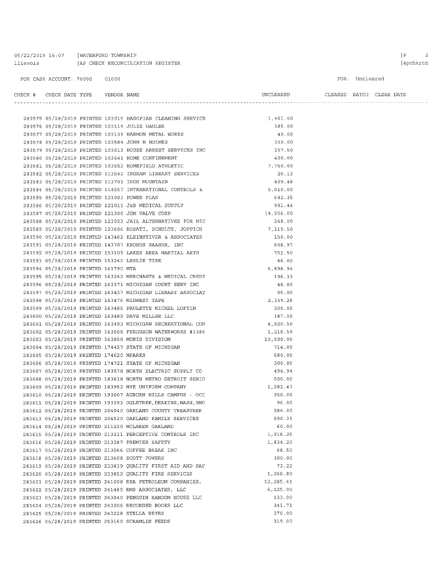| 05/22/2019 16:07 |  | WATERFORD TOWNSHIP               |  |
|------------------|--|----------------------------------|--|
| llievois         |  | AP CHECK RECONCILIATION REGISTER |  |

#### FOR: Uncleared

UNCLEARED CLEARED BATCH CLEAR DATE

# $\begin{tabular}{lllllll} \bf CHECK & \tt H & \tt CHECK & \tt DATE & \tt YYPE & \tt VENDOR & \tt NAME \end{tabular}$

|  |                                             | 283575 05/28/2019 PRINTED 103015 HAGOPIAN CLEANING SERVICE    | 1,461.00  |
|--|---------------------------------------------|---------------------------------------------------------------|-----------|
|  |                                             | 283576 05/28/2019 PRINTED 103119 JULIE HAULER                 | 385.00    |
|  |                                             | 283577 05/28/2019 PRINTED 103139 HARMON METAL WORKS           | 40.00     |
|  |                                             | 283578 05/28/2019 PRINTED 103584 JOHN H HOLMES                | 350.00    |
|  |                                             | 283579 05/28/2019 PRINTED 103613 HOUSE ARREST SERVICES INC    | 157.50    |
|  |                                             | 283580 05/28/2019 PRINTED 103641 HOME CONFINEMENT             | 400.00    |
|  |                                             | 283581 05/28/2019 PRINTED 103652 HOMEFIELD ATHLETIC           | 7,750.00  |
|  |                                             | 283582 05/28/2019 PRINTED 113542 INGRAM LIBRARY SERVICES      | 25.13     |
|  |                                             | 283583 05/28/2019 PRINTED 113701 IRON MOUNTAIN                | 409.48    |
|  |                                             | 283584 05/28/2019 PRINTED 114557 INTERNATIONAL CONTROLS &     | 5,010.00  |
|  | 283585 05/28/2019 PRINTED 121003 POWER PLAN |                                                               | 642.35    |
|  |                                             | 283586 05/28/2019 PRINTED 121011 J&B MEDICAL SUPPLY           | 981.44    |
|  |                                             | 283587 05/28/2019 PRINTED 121300 JGM VALVE CORP               | 14,956.00 |
|  |                                             | 283588 05/28/2019 PRINTED 123023 JAIL ALTERNATIVES FOR MIC    | 248.00    |
|  |                                             | 283589 05/28/2019 PRINTED 123606 ROSATI, SCHULTZ, JOPPICH     | 7,119.50  |
|  |                                             | 283590 05/28/2019 PRINTED 143462 KLEINSTIVER & ASSOCIATES     | 150.00    |
|  |                                             | 283591 05/28/2019 PRINTED 143707 KRONOS SAASHR, INC           | 608.97    |
|  |                                             | 283592 05/28/2019 PRINTED 153109 LAKES AREA MARTIAL ARTS      | 752.50    |
|  |                                             | 283593 05/28/2019 PRINTED 153240 LESLIE TIRE                  | 46.00     |
|  | 283594 05/28/2019 PRINTED 161790 MTA        |                                                               | 6,898.94  |
|  |                                             | 283595 05/28/2019 PRINTED 163242 MERCHANTS & MEDICAL CREDI    | 196.33    |
|  |                                             | 283596 05/28/2019 PRINTED 163371 MICHIGAN COURT SERV INC      | 48.00     |
|  |                                             | 283597 05/28/2019 PRINTED 163437 MICHIGAN LIBRARY ASSOCIAT    | 95.00     |
|  |                                             | 283598 05/28/2019 PRINTED 163476 MIDWEST TAPE                 | 2,339.28  |
|  |                                             | 283599 05/28/2019 PRINTED 163485 PAULETTE MICHEL LOFTIN       | 300.00    |
|  |                                             | 283600 05/28/2019 PRINTED 163489 DAVE MILLER LLC              | 187.00    |
|  |                                             | 283601 05/28/2019 PRINTED 163493 MICHIGAN RECREATIONAL CON    | 8,920.50  |
|  |                                             | 283602 05/28/2019 PRINTED 163508 FERGUSON WATERWORKS #3386    | 1,218.59  |
|  |                                             | 283603 05/28/2019 PRINTED 163858 MUNIS DIVISION               | 10,500.00 |
|  |                                             | 283604 05/28/2019 PRINTED 174457 STATE OF MICHIGAN            | 714.00    |
|  | 283605 05/28/2019 PRINTED 174620 MPARKS     |                                                               | 680.00    |
|  |                                             | 283606 05/28/2019 PRINTED 174721 STATE OF MICHIGAN            | 300.00    |
|  |                                             | 283607 05/28/2019 PRINTED 183578 NORTH ELECTRIC SUPPLY CO     | 494.94    |
|  |                                             | 283608 05/28/2019 PRINTED 183618 NORTH METRO DETROIT SENIO    | 500.00    |
|  |                                             | 283609 05/28/2019 PRINTED 183952 NYE UNIFORM COMPANY          | 1,282.47  |
|  |                                             | 283610 05/28/2019 PRINTED 193007 AUBURN HILLS CAMPUS - OCC    | 350.00    |
|  |                                             | 283611 05/28/2019 PRINTED 193293 OGLETREE, DEAKINS, NASH, SMO | 96.00     |
|  |                                             | 283612 05/28/2019 PRINTED 204040 OAKLAND COUNTY TREASURER     | 384.00    |
|  |                                             | 283613 05/28/2019 PRINTED 204520 OAKLAND FAMILY SERVICES      | 600.31    |
|  |                                             | 283614 05/28/2019 PRINTED 211220 MCLAREN OAKLAND              | 60.00     |
|  |                                             | 283615 05/28/2019 PRINTED 213211 PERCEPTIVE CONTROLS INC      | 1,916.25  |
|  |                                             | 283616 05/28/2019 PRINTED 213287 PREMIER SAFETY               | 1,834.20  |
|  |                                             | 283617 05/28/2019 PRINTED 213566 COFFEE BREAK INC             | 68.50     |
|  |                                             | 283618 05/28/2019 PRINTED 213608 SCOTT POWERS                 | 300.00    |
|  |                                             | 283619 05/28/2019 PRINTED 233839 QUALITY FIRST AID AND SAF    | 73.22     |
|  |                                             | 283620 05/28/2019 PRINTED 233852 QUALITY FIRE SERVICES        | 1,268.80  |
|  |                                             | 283621 05/28/2019 PRINTED 241008 RKA PETROLEUM COMPANIES,     | 12,285.41 |
|  |                                             | 283622 05/28/2019 PRINTED 241485 RMS ASSOCIATES, LLC          | 6, 125.00 |
|  |                                             | 283623 05/28/2019 PRINTED 243040 PENGUIN RANDOM HOUSE LLC     | 133.00    |
|  |                                             | 283624 05/28/2019 PRINTED 243206 RECORDED BOOKS LLC           | 341.71    |
|  |                                             | 283625 05/28/2019 PRINTED 243228 STELLA REYES                 | 270.00    |
|  |                                             | 283626 05/28/2019 PRINTED 253160 SCRAMLIN FEEDS               | 319.00    |
|  |                                             |                                                               |           |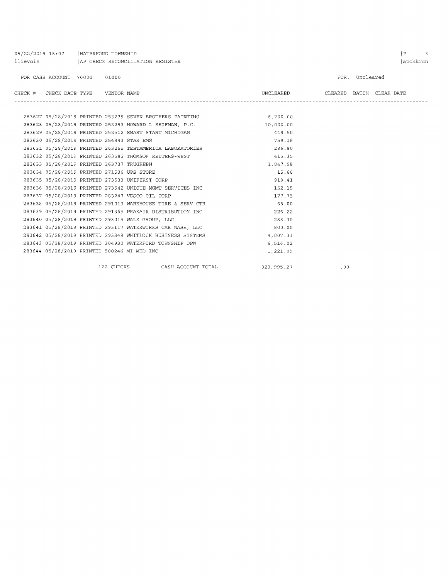| 05/22/2019 16:07   WATERFORD TOWNSHIP<br>llievois (AP CHECK RECONCILIATION REGISTER |                                            |  |            |                                                            |                    |                                                                   |                                    |                | P<br>3<br>apchkrcn |
|-------------------------------------------------------------------------------------|--------------------------------------------|--|------------|------------------------------------------------------------|--------------------|-------------------------------------------------------------------|------------------------------------|----------------|--------------------|
|                                                                                     | FOR CASH ACCOUNT: 70000 01000              |  |            |                                                            |                    |                                                                   |                                    | FOR: Uncleared |                    |
|                                                                                     | CHECK # CHECK DATE TYPE    VENDOR NAME     |  |            |                                                            |                    |                                                                   | UNCLEARED CLEARED BATCH CLEAR DATE |                |                    |
|                                                                                     |                                            |  |            |                                                            |                    | 283627 05/28/2019 PRINTED 253239 SEVEN BROTHERS PAINTING 6,200.00 |                                    |                |                    |
|                                                                                     |                                            |  |            | 283628 05/28/2019 PRINTED 253293 HOWARD L SHIFMAN, P.C.    |                    | 10,000.00                                                         |                                    |                |                    |
|                                                                                     |                                            |  |            | 283629 05/28/2019 PRINTED 253512 SMART START MICHIGAN      |                    | 449.50                                                            |                                    |                |                    |
|                                                                                     | 283630 05/28/2019 PRINTED 254843 STAR EMS  |  |            |                                                            |                    | 759.18                                                            |                                    |                |                    |
|                                                                                     |                                            |  |            | 283631 05/28/2019 PRINTED 263255 TESTAMERICA LABORATORIES  |                    | 286.80                                                            |                                    |                |                    |
|                                                                                     |                                            |  |            | 283632 05/28/2019 PRINTED 263582 THOMSON REUTERS-WEST      |                    | 415.35                                                            |                                    |                |                    |
|                                                                                     | 283633 05/28/2019 PRINTED 263737 TRUGREEN  |  |            |                                                            |                    | 1,047.98                                                          |                                    |                |                    |
|                                                                                     | 283634 05/28/2019 PRINTED 271536 UPS STORE |  |            |                                                            |                    | 15.66                                                             |                                    |                |                    |
|                                                                                     |                                            |  |            | 283635 05/28/2019 PRINTED 273533 UNIFIRST CORP             |                    | 919.41                                                            |                                    |                |                    |
|                                                                                     |                                            |  |            | 283636 05/28/2019 PRINTED 273542 UNIQUE MGMT SERVICES INC  |                    | 152.15                                                            |                                    |                |                    |
|                                                                                     |                                            |  |            | 283637 05/28/2019 PRINTED 283247 VESCO OIL CORP            |                    | 177.75                                                            |                                    |                |                    |
|                                                                                     |                                            |  |            | 283638 05/28/2019 PRINTED 291013 WAREHOUSE TIRE & SERV CTR |                    | 68.00                                                             |                                    |                |                    |
|                                                                                     |                                            |  |            | 283639 05/28/2019 PRINTED 291365 PRAXAIR DISTRIBUTION INC  |                    | 226.22                                                            |                                    |                |                    |
|                                                                                     |                                            |  |            | 283640 05/28/2019 PRINTED 293015 WALZ GROUP, LLC           |                    | 288.30                                                            |                                    |                |                    |
|                                                                                     |                                            |  |            | 283641 05/28/2019 PRINTED 293117 WATERWORKS CAR WASH, LLC  |                    | 800.00                                                            |                                    |                |                    |
|                                                                                     |                                            |  |            | 283642 05/28/2019 PRINTED 293348 WHITLOCK BUSINESS SYSTEMS |                    | 4,007.31                                                          |                                    |                |                    |
|                                                                                     |                                            |  |            | 283643 05/28/2019 PRINTED 304930 WATERFORD TOWNSHIP DPW    |                    | 6,516.02                                                          |                                    |                |                    |
|                                                                                     |                                            |  |            | 283644 05/28/2019 PRINTED 500246 MI MED INC                |                    | 1,221.09                                                          |                                    |                |                    |
|                                                                                     |                                            |  | 122 CHECKS |                                                            | CASH ACCOUNT TOTAL | 323,995.27                                                        | .00                                |                |                    |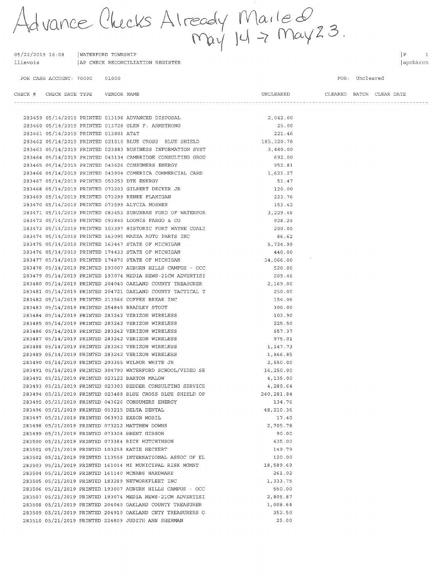Advance Checks Already Mailed.<br>May 14 -> May 23.

05/22/2019 16:08 WATERFORD TOWNSHIP llievois AP CHECK RECONCILIATION REGISTER

FOR CASH ACCOUNT: 70000 01000

 $\begin{array}{ccc} \n\boxed{P} & \quad & \boxed{1} \n\end{array}$ apchkrcn

FOR: Uncleared

| CHECK # CHECK DATE TYPE    VENDOR NAME |  |                                                                      | UNCLEARED CLEARED BATCH CLEAR DATE |                                    |  |
|----------------------------------------|--|----------------------------------------------------------------------|------------------------------------|------------------------------------|--|
|                                        |  |                                                                      |                                    | ---------------------------------- |  |
|                                        |  | 283459 05/14/2019 PRINTED 013198 ADVANCED DISPOSAL                   | 2,042.00                           |                                    |  |
|                                        |  | 283460 05/14/2019 PRINTED 013728 GLEN F. ARMSTRONG                   | 25.00                              |                                    |  |
| 283461 05/14/2019 PRINTED 013801 AT&T  |  |                                                                      | 221.46                             |                                    |  |
|                                        |  | 283462 05/14/2019 PRINTED 021510 BLUE CROSS BLUE SHIELD              | 185,320.78                         |                                    |  |
|                                        |  | 283463 05/14/2019 PRINTED 023883 BUSINESS INFORMATION SYST           | 3,480.00                           |                                    |  |
|                                        |  | 283464 05/14/2019 PRINTED 043134 CAMBRIDGE CONSULTING GROU           | 692.00                             |                                    |  |
|                                        |  | 283465 05/14/2019 PRINTED 043626 CONSUMERS ENERGY                    | 952.81                             |                                    |  |
|                                        |  | 283466 05/14/2019 PRINTED 043904 COMERICA COMMERCIAL CARD 1,621.27   |                                    |                                    |  |
|                                        |  | 283467 05/14/2019 PRINTED 053253 DTE ENERGY                          | 51.47                              |                                    |  |
|                                        |  | 283468 05/14/2019 PRINTED 073203 GILBERT DECKER JR                   | 120.00                             |                                    |  |
|                                        |  | 283469 05/14/2019 PRINTED 073299 RENEE FLANIGAN                      | 223.76                             |                                    |  |
|                                        |  | 283470 05/14/2019 PRINTED 073599 ALYCIA MOSHER                       | 153.42                             |                                    |  |
|                                        |  | 283471 05/14/2019 PRINTED 083452 SUBURBAN FORD OF WATERFOR           | 3,229.46                           |                                    |  |
|                                        |  | 283472 05/14/2019 PRINTED 093840 LOOMIS FARGO & CO                   | 928.24                             |                                    |  |
|                                        |  | 283473 05/14/2019 PRINTED 103397 HISTORIC FORT WAYNE COALI           | 200.00                             |                                    |  |
|                                        |  | 283474 05/14/2019 PRINTED 163095 MAZZA AUTO PARTS INC                | 86.62                              |                                    |  |
|                                        |  | 283475 05/14/2019 PRINTED 163447 STATE OF MICHIGAN                   | 5,734.99                           |                                    |  |
|                                        |  | 283476 05/14/2019 PRINTED 174433 STATE OF MICHIGAN                   | 440.00                             |                                    |  |
|                                        |  | 283477 05/14/2019 PRINTED 174870 STATE OF MICHIGAN                   | 34,066.00                          |                                    |  |
|                                        |  | 283478 05/14/2019 PRINTED 193007 AUBURN HILLS CAMPUS - OCC           | 520.00                             |                                    |  |
|                                        |  | 283479 05/14/2019 PRINTED 193074 MEDIA NEWS-21CM ADVERTISI           | 209.46                             |                                    |  |
|                                        |  | 283480 05/14/2019 PRINTED 204040 OAKLAND COUNTY TREASURER            | 2,169.00                           |                                    |  |
|                                        |  | 283481 05/14/2019 PRINTED 204721 OAKLAND COUNTY TACTICAL T           | 250.00                             |                                    |  |
|                                        |  | 283482 05/14/2019 PRINTED 213566 COFFEE BREAK INC                    | 154.06                             |                                    |  |
|                                        |  | 283483 05/14/2019 PRINTED 254845 BRADLEY STOUT                       | 300.00                             |                                    |  |
|                                        |  | 283484 05/14/2019 PRINTED 283242 VERIZON WIRELESS                    | 103.90                             |                                    |  |
|                                        |  | 283485 05/14/2019 PRINTED 283242 VERIZON WIRELESS                    | 225.50                             |                                    |  |
|                                        |  | 283486 05/14/2019 PRINTED 283242 VERIZON WIRELESS                    | 657.37                             |                                    |  |
|                                        |  | 283487 05/14/2019 PRINTED 283242 VERIZON WIRELESS                    | 975.01                             |                                    |  |
|                                        |  | 283488 05/14/2019 PRINTED 283242 VERIZON WIRELESS                    | 1,147.73                           |                                    |  |
|                                        |  | 283489 05/14/2019 PRINTED 283242 VERIZON WIRELESS                    | 1,866.85                           |                                    |  |
|                                        |  | 283490 05/14/2019 PRINTED 293355 WILBUR WHITE JR                     | 2,550.00                           |                                    |  |
|                                        |  | 283491 05/14/2019 PRINTED 304790 WATERFORD SCHOOL/VIDEO SE 16,250.00 |                                    |                                    |  |
|                                        |  | 283492 05/21/2019 PRINTED 023122 BARTON MALOW                        | 4,135.00                           |                                    |  |
|                                        |  | 283493 05/21/2019 PRINTED 023303 BEDDER CONSULTING SERVICE           | 4,289.64                           |                                    |  |
|                                        |  | 283494 05/21/2019 PRINTED 023488 BLUE CROSS BLUE SHIELD OF           | 240, 281.84                        |                                    |  |
|                                        |  | 283495 05/21/2019 PRINTED 043626 CONSUMERS ENERGY                    | 134.76                             |                                    |  |
|                                        |  | 283496 05/21/2019 PRINTED 053215 DELTA DENTAL                        | 48,210.36                          |                                    |  |
|                                        |  | 283497 05/21/2019 PRINTED 063932 EXXON MOBIL                         | 17.40                              |                                    |  |
|                                        |  | 283498 05/21/2019 PRINTED 073212 MATTHEW DOWNS                       | 2,705.78                           |                                    |  |
|                                        |  | 283499 05/21/2019 PRINTED 073308 BRENT GIBSON                        | 90.00                              |                                    |  |
|                                        |  | 283500 05/21/2019 PRINTED 073384 RICK HUTCHINSON                     | 435.00                             |                                    |  |
|                                        |  | 283501 05/21/2019 PRINTED 103258 KATIE HECKERT                       | 149.79                             |                                    |  |
|                                        |  | 283502 05/21/2019 PRINTED 113558 INTERNATIONAL ASSOC OF EL           | 120.00                             |                                    |  |
|                                        |  | 283503 05/21/2019 PRINTED 161014 MI MUNICIPAL RISK MGMNT             | 18,589.69                          |                                    |  |
|                                        |  | 283504 05/21/2019 PRINTED 161140 MCNABS HARDWARE                     | 261.02                             |                                    |  |
|                                        |  | 283505 05/21/2019 PRINTED 183289 NETWORKFLEET INC                    | 1,333.75                           |                                    |  |
|                                        |  | 283506 05/21/2019 PRINTED 193007 AUBURN HILLS CAMPUS - OCC           | 550.00                             |                                    |  |
|                                        |  | 283507 05/21/2019 PRINTED 193074 MEDIA NEWS-21CM ADVERTISI           | 2,805.87                           |                                    |  |
|                                        |  | 283508 05/21/2019 PRINTED 204040 OAKLAND COUNTY TREASURER            | 1,008.64                           |                                    |  |
|                                        |  | 283509 05/21/2019 PRINTED 204910 OAKLAND CNTY TREASURERS O           | 352.50                             |                                    |  |
|                                        |  | 283510 05/21/2019 PRINTED 224809 JUDITH ANN SHERMAN                  | 25.00                              |                                    |  |
|                                        |  |                                                                      |                                    |                                    |  |